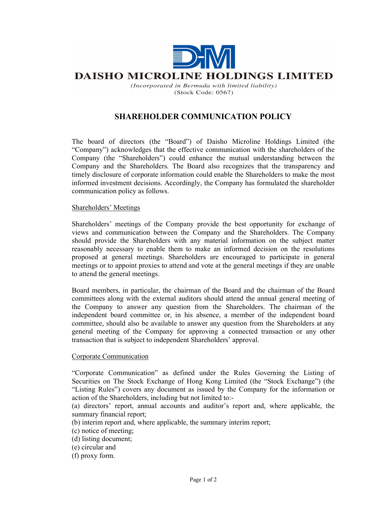

# **DAISHO MICROLINE HOLDINGS LIMITED**

(Incorporated in Bermuda with limited liability)  $(Stock Code: 0567)$ 

# SHAREHOLDER COMMUNICATION POLICY

The board of directors (the "Board") of Daisho Microline Holdings Limited (the "Company") acknowledges that the effective communication with the shareholders of the Company (the "Shareholders") could enhance the mutual understanding between the Company and the Shareholders. The Board also recognizes that the transparency and timely disclosure of corporate information could enable the Shareholders to make the most informed investment decisions. Accordingly, the Company has formulated the shareholder communication policy as follows.

## Shareholders' Meetings

Shareholders' meetings of the Company provide the best opportunity for exchange of views and communication between the Company and the Shareholders. The Company should provide the Shareholders with any material information on the subject matter reasonably necessary to enable them to make an informed decision on the resolutions proposed at general meetings. Shareholders are encouraged to participate in general meetings or to appoint proxies to attend and vote at the general meetings if they are unable to attend the general meetings.

Board members, in particular, the chairman of the Board and the chairman of the Board committees along with the external auditors should attend the annual general meeting of the Company to answer any question from the Shareholders. The chairman of the independent board committee or, in his absence, a member of the independent board committee, should also be available to answer any question from the Shareholders at any general meeting of the Company for approving a connected transaction or any other transaction that is subject to independent Shareholders' approval.

## Corporate Communication

"Corporate Communication" as defined under the Rules Governing the Listing of Securities on The Stock Exchange of Hong Kong Limited (the "Stock Exchange") (the "Listing Rules") covers any document as issued by the Company for the information or action of the Shareholders, including but not limited to:-

(a) directors' report, annual accounts and auditor's report and, where applicable, the summary financial report;

(b) interim report and, where applicable, the summary interim report;

- (c) notice of meeting;
- (d) listing document;
- (e) circular and
- (f) proxy form.